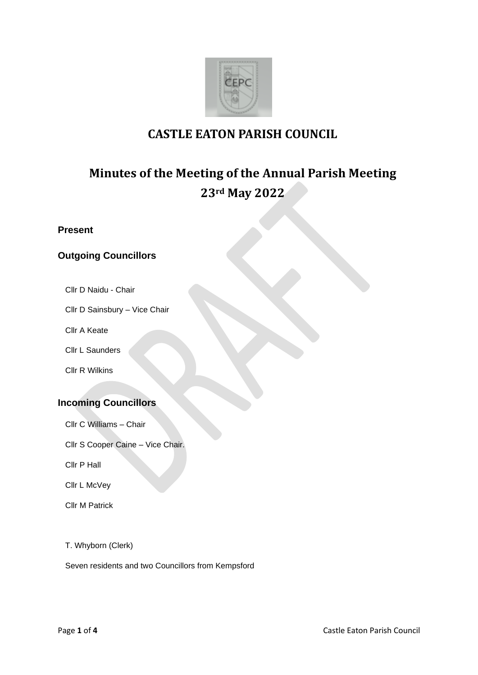

# **CASTLE EATON PARISH COUNCIL**

# **Minutes of the Meeting of the Annual Parish Meeting 23rd May 2022**

**Present**

# **Outgoing Councillors**

Cllr D Naidu - Chair

Cllr D Sainsbury – Vice Chair

Cllr A Keate

Cllr L Saunders

Cllr R Wilkins

# **Incoming Councillors**

Cllr C Williams – Chair

Cllr S Cooper Caine – Vice Chair.

Cllr P Hall

Cllr L McVey

Cllr M Patrick

T. Whyborn (Clerk)

Seven residents and two Councillors from Kempsford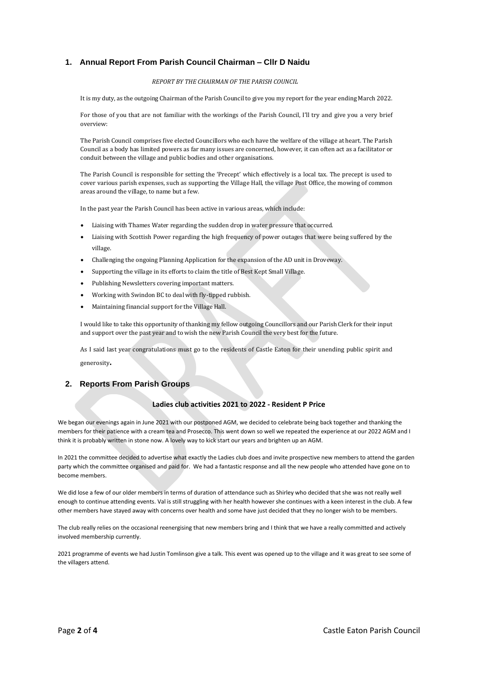# **1. Annual Report From Parish Council Chairman – Cllr D Naidu**

#### *REPORT BY THE CHAIRMAN OF THE PARISH COUNCIL*

It is my duty, as the outgoing Chairman of the Parish Council to give you my report for the year ending March 2022.

For those of you that are not familiar with the workings of the Parish Council, I'll try and give you a very brief overview:

The Parish Council comprises five elected Councillors who each have the welfare of the village at heart. The Parish Council as a body has limited powers as far many issues are concerned, however, it can often act as a facilitator or conduit between the village and public bodies and other organisations.

The Parish Council is responsible for setting the 'Precept' which effectively is a local tax. The precept is used to cover various parish expenses, such as supporting the Village Hall, the village Post Office, the mowing of common areas around the village, to name but a few.

In the past year the Parish Council has been active in various areas, which include:

- Liaising with Thames Water regarding the sudden drop in water pressure that occurred.
- Liaising with Scottish Power regarding the high frequency of power outages that were being suffered by the village.
- Challenging the ongoing Planning Application for the expansion of the AD unit in Droveway.
- Supporting the village in its efforts to claim the title of Best Kept Small Village.
- Publishing Newsletters covering important matters.
- Working with Swindon BC to deal with fly-tipped rubbish.
- Maintaining financial support for the Village Hall.

I would like to take this opportunity of thanking my fellow outgoing Councillors and our Parish Clerk for their input and support over the past year and to wish the new Parish Council the very best for the future.

As I said last year congratulations must go to the residents of Castle Eaton for their unending public spirit and generosity.

## **2. Reports From Parish Groups**

#### **Ladies club activities 2021 to 2022 - Resident P Price**

We began our evenings again in June 2021 with our postponed AGM, we decided to celebrate being back together and thanking the members for their patience with a cream tea and Prosecco. This went down so well we repeated the experience at our 2022 AGM and I think it is probably written in stone now. A lovely way to kick start our years and brighten up an AGM.

In 2021 the committee decided to advertise what exactly the Ladies club does and invite prospective new members to attend the garden party which the committee organised and paid for. We had a fantastic response and all the new people who attended have gone on to become members.

We did lose a few of our older members in terms of duration of attendance such as Shirley who decided that she was not really well enough to continue attending events. Val is still struggling with her health however she continues with a keen interest in the club. A few other members have stayed away with concerns over health and some have just decided that they no longer wish to be members.

The club really relies on the occasional reenergising that new members bring and I think that we have a really committed and actively involved membership currently.

2021 programme of events we had Justin Tomlinson give a talk. This event was opened up to the village and it was great to see some of the villagers attend.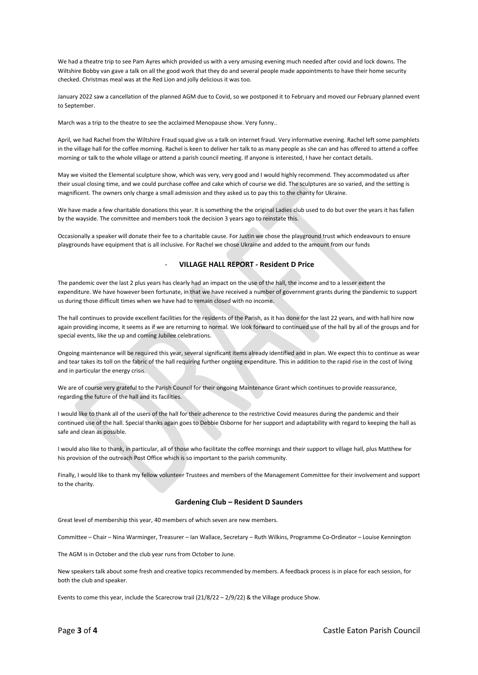We had a theatre trip to see Pam Ayres which provided us with a very amusing evening much needed after covid and lock downs. The Wiltshire Bobby van gave a talk on all the good work that they do and several people made appointments to have their home security checked. Christmas meal was at the Red Lion and jolly delicious it was too.

January 2022 saw a cancellation of the planned AGM due to Covid, so we postponed it to February and moved our February planned event to September.

March was a trip to the theatre to see the acclaimed Menopause show. Very funny..

April, we had Rachel from the Wiltshire Fraud squad give us a talk on internet fraud. Very informative evening. Rachel left some pamphlets in the village hall for the coffee morning. Rachel is keen to deliver her talk to as many people as she can and has offered to attend a coffee morning or talk to the whole village or attend a parish council meeting. If anyone is interested, I have her contact details.

May we visited the Elemental sculpture show, which was very, very good and I would highly recommend. They accommodated us after their usual closing time, and we could purchase coffee and cake which of course we did. The sculptures are so varied, and the setting is magnificent. The owners only charge a small admission and they asked us to pay this to the charity for Ukraine.

We have made a few charitable donations this year. It is something the the original Ladies club used to do but over the years it has fallen by the wayside. The committee and members took the decision 3 years ago to reinstate this.

Occasionally a speaker will donate their fee to a charitable cause. For Justin we chose the playground trust which endeavours to ensure playgrounds have equipment that is all inclusive. For Rachel we chose Ukraine and added to the amount from our funds

#### - **VILLAGE HALL REPORT - Resident D Price**

The pandemic over the last 2 plus years has clearly had an impact on the use of the hall, the income and to a lesser extent the expenditure. We have however been fortunate, in that we have received a number of government grants during the pandemic to support us during those difficult times when we have had to remain closed with no income.

The hall continues to provide excellent facilities for the residents of the Parish, as it has done for the last 22 years, and with hall hire now again providing income, it seems as if we are returning to normal. We look forward to continued use of the hall by all of the groups and for special events, like the up and coming Jubilee celebrations.

Ongoing maintenance will be required this year, several significant items already identified and in plan. We expect this to continue as wear and tear takes its toll on the fabric of the hall requiring further ongoing expenditure. This in addition to the rapid rise in the cost of living and in particular the energy crisis.

We are of course very grateful to the Parish Council for their ongoing Maintenance Grant which continues to provide reassurance, regarding the future of the hall and its facilities.

I would like to thank all of the users of the hall for their adherence to the restrictive Covid measures during the pandemic and their continued use of the hall. Special thanks again goes to Debbie Osborne for her support and adaptability with regard to keeping the hall as safe and clean as possible.

I would also like to thank, in particular, all of those who facilitate the coffee mornings and their support to village hall, plus Matthew for his provision of the outreach Post Office which is so important to the parish community.

Finally, I would like to thank my fellow volunteer Trustees and members of the Management Committee for their involvement and support to the charity.

#### **Gardening Club – Resident D Saunders**

Great level of membership this year, 40 members of which seven are new members.

Committee – Chair – Nina Warminger, Treasurer – Ian Wallace, Secretary – Ruth Wilkins, Programme Co-Ordinator – Louise Kennington

The AGM is in October and the club year runs from October to June.

New speakers talk about some fresh and creative topics recommended by members. A feedback process is in place for each session, for both the club and speaker.

Events to come this year, include the Scarecrow trail (21/8/22 – 2/9/22) & the Village produce Show.